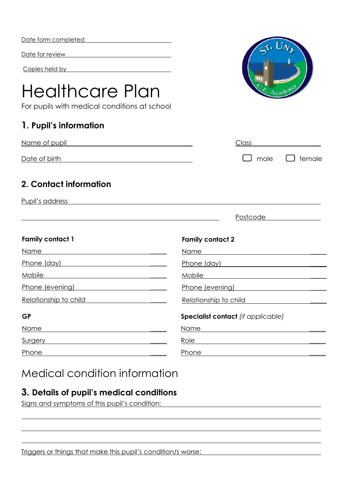| Date form completed |  |
|---------------------|--|
|---------------------|--|

Date for review

Copies held by

# Healthcare Plan

For pupils with medical conditions at school

### **1. Pupil's information**

| Name of pupil | Class |                           |
|---------------|-------|---------------------------|
| Date of birth |       | $\Box$ male $\Box$ female |

#### **2. Contact information**

Pupil's address

|                         | Postcode                                  |
|-------------------------|-------------------------------------------|
| <b>Family contact 1</b> | <b>Family contact 2</b>                   |
| Name                    | Name                                      |
| Phone (day)             | Phone (day)                               |
| Mobile                  | Mobile                                    |
| Phone (evening)         | Phone (evening)                           |
| Relationship to child   | Relationship to child                     |
| <b>GP</b>               | <b>Specialist contact</b> (if applicable) |
| Name                    | Name                                      |
| Surgery                 | Role                                      |
| Phone                   | Phone                                     |

# Medical condition information

#### **3. Details of pupil's medical conditions**

Signs and symptoms of this pupil's condition:

Triggers or things that make this pupil's condition/s worse: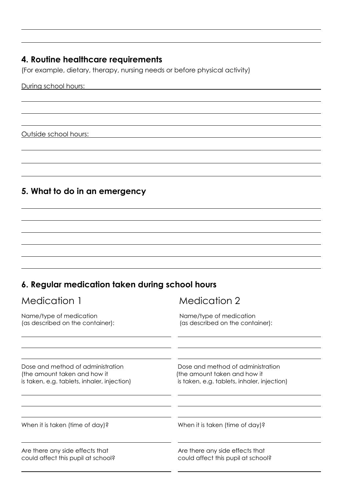## **4. Routine healthcare requirements**

(For example, dietary, therapy, nursing needs or before physical activity)

During school hours:

Outside school hours:

#### **5. What to do in an emergency**

#### **6. Regular medication taken during school hours**

| Medication 1                                | Medication 2                                |
|---------------------------------------------|---------------------------------------------|
| Name/type of medication                     | Name/type of medication                     |
| (as described on the container):            | (as described on the container):            |
| Dose and method of administration           | Dose and method of administration           |
| (the amount taken and how it                | (the amount taken and how it                |
| is taken, e.g. tablets, inhaler, injection) | is taken, e.g. tablets, inhaler, injection) |
| When it is taken (time of day)?             | When it is taken (time of day)?             |
| Are there any side effects that             | Are there any side effects that             |
| could affect this pupil at school?          | could affect this pupil at school?          |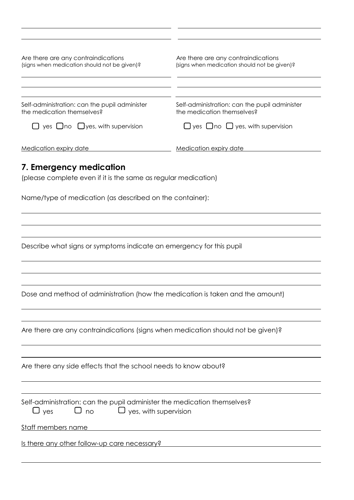| Are there are any contraindications<br>(signs when medication should not be given)?                                                 | Are there are any contraindications<br>(signs when medication should not be given)? |
|-------------------------------------------------------------------------------------------------------------------------------------|-------------------------------------------------------------------------------------|
|                                                                                                                                     |                                                                                     |
| Self-administration: can the pupil administer<br>the medication themselves?                                                         | Self-administration: can the pupil administer<br>the medication themselves?         |
| $\Box$ yes $\Box$ no $\Box$ yes, with supervision                                                                                   | $\Box$ yes $\Box$ no $\Box$ yes, with supervision                                   |
| <b>Medication expiry date</b>                                                                                                       | <b>Medication expiry date</b>                                                       |
| 7. Emergency medication                                                                                                             |                                                                                     |
| (please complete even if it is the same as regular medication)                                                                      |                                                                                     |
| Name/type of medication (as described on the container):                                                                            |                                                                                     |
|                                                                                                                                     |                                                                                     |
|                                                                                                                                     |                                                                                     |
| Describe what signs or symptoms indicate an emergency for this pupil                                                                |                                                                                     |
|                                                                                                                                     |                                                                                     |
|                                                                                                                                     |                                                                                     |
| Dose and method of administration (how the medication is taken and the amount)                                                      |                                                                                     |
|                                                                                                                                     |                                                                                     |
| Are there are any contraindications (signs when medication should not be given)?                                                    |                                                                                     |
|                                                                                                                                     |                                                                                     |
| Are there any side effects that the school needs to know about?                                                                     |                                                                                     |
|                                                                                                                                     |                                                                                     |
| Self-administration: can the pupil administer the medication themselves?<br>$\Box$ no $\Box$ yes, with supervision<br>$\bigcup$ yes |                                                                                     |
| Staff members name                                                                                                                  |                                                                                     |
| Is there any other follow-up care necessary?                                                                                        |                                                                                     |
|                                                                                                                                     |                                                                                     |

l, l,

 $\sim$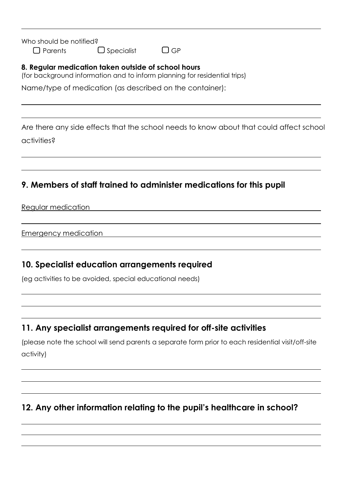Who should be notified?

 $\Box$  Parents  $\Box$  Specialist  $\Box$  GP

#### **8. Regular medication taken outside of school hours**

(for background information and to inform planning for residential trips)

Name/type of medication (as described on the container):

Are there any side effects that the school needs to know about that could affect school activities?

#### **9. Members of staff trained to administer medications for this pupil**

Regular medication

Emergency medication

#### **10. Specialist education arrangements required**

(eg activities to be avoided, special educational needs)

#### **11. Any specialist arrangements required for off-site activities**

(please note the school will send parents a separate form prior to each residential visit/off-site activity)

#### **12. Any other information relating to the pupil's healthcare in school?**